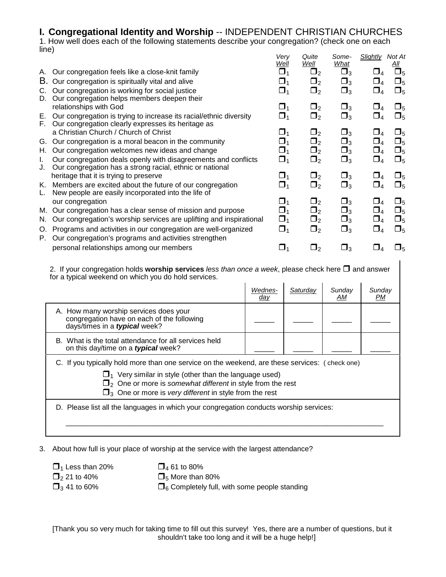# **I. Congregational Identity and Worship** -- INDEPENDENT CHRISTIAN CHURCHES

1. How well does each of the following statements describe your congregation? (check one on each line) *Very Quite Some- Slightly Not At*

|          |                                                                     | v v , y<br>Well | sano<br>Well | --<br>What  | بسبوس<br>,,,,,,,<br><u>All</u>   |
|----------|---------------------------------------------------------------------|-----------------|--------------|-------------|----------------------------------|
| А.       | Our congregation feels like a close-knit family                     | $\Box_1$        | $\sqcup_2$   | $\square_3$ | $\square_5$<br>$\square_4$       |
| В.       | Our congregation is spiritually vital and alive                     | $\Box_1$        | $\Box_2$     | $\square_3$ | $\square_4$<br>$\square_5$       |
| C.       | Our congregation is working for social justice                      | $\square_1$     | $\Box_2$     | $\square_3$ | $\Box_5$<br>$\square_4$          |
| D.       | Our congregation helps members deepen their                         |                 |              |             |                                  |
|          | relationships with God                                              | $\Box_1$        | $\Box_2$     | $\Box_3$    | $\square_5$<br>$\Box_4$          |
| Е.<br>F. | Our congregation is trying to increase its racial/ethnic diversity  | $\Box_1$        | $\Box_2$     | $\Box_3$    | $\square_5$<br>$\square_4$       |
|          | Our congregation clearly expresses its heritage as                  |                 |              |             |                                  |
|          | a Christian Church / Church of Christ                               | ❏1              | $\Box_2$     | $\square_3$ | $\square_5$<br>⊔⊿                |
| G.       | Our congregation is a moral beacon in the community                 | $\Box_1$        | $\Box_2$     | $\Box_3$    | $\square_5$<br>$\Box_4$          |
| Н.       | Our congregation welcomes new ideas and change                      | $\Box_1$        | $\Box_2$     | $\Box_3$    | $\square_4$<br>$\square_5$       |
| L.       | Our congregation deals openly with disagreements and conflicts      | $\Box_1$        | $\Box_2$     | $\Box_3$    | $\square_5$<br>$\Box_4$          |
| J.       | Our congregation has a strong racial, ethnic or national            |                 |              |             |                                  |
|          | heritage that it is trying to preserve                              | $\Box_1$        | $\Box_2$     | $\square_3$ | $\square_5$                      |
| Κ.       | Members are excited about the future of our congregation            | $\square_1$     | $\Box_2$     | $\Box_3$    | $\Box_5$<br>$\square_4$          |
| L.       | New people are easily incorporated into the life of                 |                 |              |             |                                  |
|          | our congregation                                                    | $\square_1$     | $\Box_2$     | $\Box_3$    | $\square_5$<br>$\sqcup_4$        |
| М.       | Our congregation has a clear sense of mission and purpose           | $\Box_1$        | $\Box_2$     | $\square_3$ | $\Box_4$<br>$\square_5$          |
| N.       | Our congregation's worship services are uplifting and inspirational | $\Box_1$        | $\Box_2$     | $\square_3$ | $\square_5$<br>$\square_4$       |
| O.       | Programs and activities in our congregation are well-organized      | $\Box_1$        | $\Box_2$     | $\Box_3$    | $\square_5$<br>$\square_{\it 4}$ |
| Р.       | Our congregation's programs and activities strengthen               |                 |              |             |                                  |
|          | personal relationships among our members                            | $\square$ 1     | $\mathbf{L}$ | צ⊔          | $\Box_5$                         |
|          |                                                                     |                 |              |             |                                  |

2. If your congregation holds **worship services** *less than once a week*, please check here  $\Box$  and answer for a typical weekend on which you do hold services.  $\mathbf{L}$  $\mathbf{I}$  $\mathbf{I}$  $\mathbf{I}$ 

|                                                                                                                                                                                                                                                                                                                  | Wednes-<br><u>day</u> | Saturday | Sunday<br>АM | Sunday<br>PМ |  |
|------------------------------------------------------------------------------------------------------------------------------------------------------------------------------------------------------------------------------------------------------------------------------------------------------------------|-----------------------|----------|--------------|--------------|--|
| A. How many worship services does your<br>congregation have on each of the following<br>days/times in a typical week?                                                                                                                                                                                            |                       |          |              |              |  |
| B. What is the total attendance for all services held<br>on this day/time on a typical week?                                                                                                                                                                                                                     |                       |          |              |              |  |
| C. If you typically hold more than one service on the weekend, are these services: (check one)<br>$\Box_1$ Very similar in style (other than the language used)<br>$\Box$ <sub>2</sub> One or more is somewhat different in style from the rest<br>$\Box_3$ One or more is very different in style from the rest |                       |          |              |              |  |
| D. Please list all the languages in which your congregation conducts worship services:                                                                                                                                                                                                                           |                       |          |              |              |  |

3. About how full is your place of worship at the service with the largest attendance?

 $\Box_1$  Less than 20%  $\Box_4$  61 to 80%  $\Box_2$  21 to 40%  $\Box_5$  More than

 $\Box_2$  21 to 40%  $\Box_5$  More than 80%<br> $\Box_3$  41 to 60%  $\Box_6$  Completely full,  $\Box_6$  Completely full, with some people standing

[Thank you so very much for taking time to fill out this survey! Yes, there are a number of questions, but it shouldn't take too long and it will be a huge help!]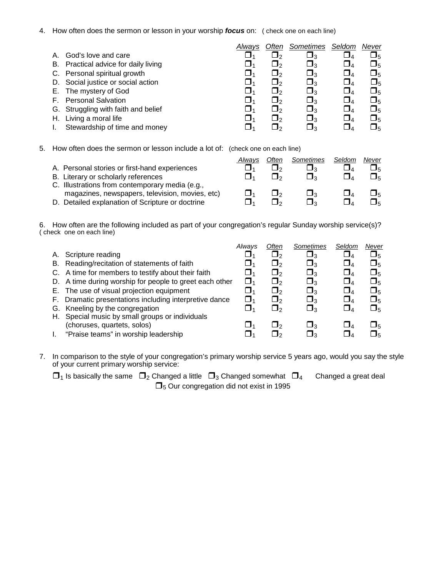4. How often does the sermon or lesson in your worship *focus* on: ( check one on each line)

| God's love and care<br>А.<br>J۵<br>3.<br>B. Practical advice for daily living<br>$\Box_3$<br>$\Box$ <sub>4</sub><br>C. Personal spiritual growth<br>$\square$<br>$\Box$<br>D. Social justice or social action<br>$\square_3$<br>$\sqcup_{\varDelta}$<br>∘כ<br>E. The mystery of God<br>$\Box$ <sup>3</sup><br>$\Box$ 4<br>F. Personal Salvation<br>פּ<br>┚』<br>$\mathsf{L}$<br>$\square_3$<br>G. Struggling with faith and belief<br>$\Box$<br>طا<br>Living a moral life<br>Н.<br>❏۹<br>$\Box$<br>Stewardship of time and money<br>$\Box$<br>ج ا |  | Alwavs | Often | Sometimes | Seldom | Never          |
|--------------------------------------------------------------------------------------------------------------------------------------------------------------------------------------------------------------------------------------------------------------------------------------------------------------------------------------------------------------------------------------------------------------------------------------------------------------------------------------------------------------------------------------------------|--|--------|-------|-----------|--------|----------------|
|                                                                                                                                                                                                                                                                                                                                                                                                                                                                                                                                                  |  |        |       |           |        | ∐5             |
|                                                                                                                                                                                                                                                                                                                                                                                                                                                                                                                                                  |  |        |       |           |        | $\square_5$    |
|                                                                                                                                                                                                                                                                                                                                                                                                                                                                                                                                                  |  |        |       |           |        | $\square_5$    |
|                                                                                                                                                                                                                                                                                                                                                                                                                                                                                                                                                  |  |        |       |           |        | $\Box_5$       |
|                                                                                                                                                                                                                                                                                                                                                                                                                                                                                                                                                  |  |        |       |           |        | $\Box_5$       |
|                                                                                                                                                                                                                                                                                                                                                                                                                                                                                                                                                  |  |        |       |           |        | $\Box_5$       |
|                                                                                                                                                                                                                                                                                                                                                                                                                                                                                                                                                  |  |        |       |           |        | $\square_5$    |
|                                                                                                                                                                                                                                                                                                                                                                                                                                                                                                                                                  |  |        |       |           |        | $\Box_5$       |
|                                                                                                                                                                                                                                                                                                                                                                                                                                                                                                                                                  |  |        |       |           |        | $\mathsf{J}_5$ |

5. How often does the sermon or lesson include a lot of: (check one on each line)

|                                                                                                    | Alwavs | Often | Sometimes | Seldom | Never  |
|----------------------------------------------------------------------------------------------------|--------|-------|-----------|--------|--------|
| A. Personal stories or first-hand experiences                                                      |        |       | ⊴פ        |        | ∃5     |
| B. Literary or scholarly references                                                                |        |       | ่ ไ่∍     |        | $\Box$ |
| C. Illustrations from contemporary media (e.g.,<br>magazines, newspapers, television, movies, etc) |        |       |           |        | _ء ا   |
| D. Detailed explanation of Scripture or doctrine                                                   |        |       |           |        | ∃ҕ     |

6. How often are the following included as part of your congregation's regular Sunday worship service(s)? ( check one on each line)

|    |                                                         | Always | Often                 | <b>Sometimes</b> | Seldom      | Never       |
|----|---------------------------------------------------------|--------|-----------------------|------------------|-------------|-------------|
| А. | Scripture reading                                       |        | פ∎                    | $\square_3$      | ⊔⊿          | $\square_5$ |
|    | B. Reading/recitation of statements of faith            | 1 ک    | ⊔∘                    | $\square_3$      | $\sqcup_4$  | $\square_5$ |
|    | C. A time for members to testify about their faith      | ■1     | $\mathsf{\mathsf{L}}$ | $\Box_3$         | $\square_4$ | $\Box_5$    |
|    | D. A time during worship for people to greet each other | ⊔⊿     | ⊔∘                    | $\Box_3$         | $\bigsqcup$ | $\square_5$ |
|    | E. The use of visual projection equipment               |        | $\Box$ 2              | $\Box_3$         | $\square_4$ | $\Box_5$    |
|    | F. Dramatic presentations including interpretive dance  | ⊔4     | ப∍                    | ❏۹               | $\Box$      | பு          |
|    | G. Kneeling by the congregation                         |        | ப∍                    | $\Box_3$         | ہ ل         | $\square_5$ |
| Н. | Special music by small groups or individuals            |        |                       |                  |             |             |
|    | (choruses, quartets, solos)                             |        | $\mathsf{L}$          | ∍⊿               | $\Box$      | ப⊾          |
|    | "Praise teams" in worship leadership                    |        |                       | בּ∎              | $\Box$      | ∐5          |
|    |                                                         |        |                       |                  |             |             |

7. In comparison to the style of your congregation's primary worship service 5 years ago, would you say the style of your current primary worship service:

 $\Box_1$  Is basically the same  $\Box_2$  Changed a little  $\Box_3$  Changed somewhat  $\Box_4$  Changed a great deal  $\Box$ <sub>5</sub> Our congregation did not exist in 1995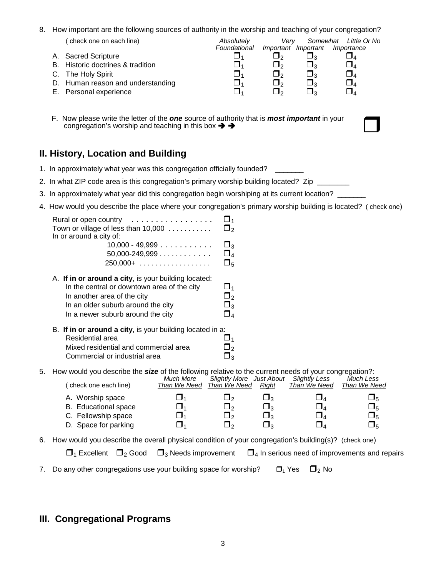#### 8. How important are the following sources of authority in the worship and teaching of your congregation?

| check one on each line)           | Absolutely   | Verv         |                     | Somewhat Little Or No |
|-----------------------------------|--------------|--------------|---------------------|-----------------------|
|                                   | Foundational |              | Important Important | Importance            |
| A. Sacred Scripture               |              |              |                     |                       |
| B. Historic doctrines & tradition |              | ┛っ           | ∍ג                  |                       |
| C. The Holy Spirit                |              | $\mathsf{L}$ | ∍ג                  |                       |
| D. Human reason and understanding |              | ⅂ℴ           | ┚╸                  |                       |
| E. Personal experience            |              | ه ا          | - 12                |                       |

F. Now please write the letter of the **one** source of authority that is **most important** in your<br>congregation's worship and teaching in this box  $\rightarrow \rightarrow$ 

# **II. History, Location and Building**

- 1. In approximately what year was this congregation officially founded?
- 2. In what ZIP code area is this congregation's primary worship building located?Zip\_\_\_\_\_\_\_\_
- 3. In approximately what year did this congregation begin worshiping at its current location? \_
- 4. How would you describe the place where your congregation's primary worship building is located? ( check one)

| Rural or open country<br>. <b>.</b> .<br>Town or village of less than 10,000<br>In or around a city of: | _J <sub>1</sub><br><u>J2</u> |
|---------------------------------------------------------------------------------------------------------|------------------------------|
| $10,000 - 49,999$                                                                                       | $\square_3$                  |
| $50,000 - 249,999 \ldots$                                                                               | $\Box_4$                     |
|                                                                                                         | $\Box_5$                     |
| A. If in or around a city, is your building located:                                                    |                              |
| In the central or downtown area of the city                                                             | O1                           |
| In another area of the city                                                                             | $\Box_2$                     |
| In an older suburb around the city                                                                      | $\Box_3$                     |
| In a newer suburb around the city                                                                       | $\Box_4$                     |
| B. If in or around a city, is your building located in a:                                               |                              |
| Residential area                                                                                        | ▁▌ィ                          |
| Mixed residential and commercial area                                                                   | ┛╸                           |
| Commercial or industrial area                                                                           |                              |

5. How would you describe the *size* of the following relative to the current needs of your congregation?:

| (check one each line)       | Much More<br>Than We Need | <b>Slightly More</b> Just About<br>Than We Need | Right          | Slightly Less<br>Than We Need | Much Less<br>Than We Need |
|-----------------------------|---------------------------|-------------------------------------------------|----------------|-------------------------------|---------------------------|
| A. Worship space            |                           | - 12                                            | <u> ၂</u>      | ┚』                            | ∐5                        |
| <b>B.</b> Educational space | ■1                        | $\mathbf{J_2}$                                  | $\Box_3$       | $\Box_4$                      | $\mathbf{\mathsf{\Xi}}_5$ |
| C. Fellowship space         |                           | <u>J</u>                                        | $\Box_3$       | $\Box_4$                      | $\Box_5$                  |
| D. Space for parking        |                           | $^{\circ}$ 1.                                   | $\mathbf{J}_3$ |                               | $\Box_5$                  |

6. How would you describe the overall physical condition of your congregation's building(s)? (check one)

| $\Box_1$ Excellent $\Box_2$ Good $\Box_3$ Needs improvement $\Box_4$ In serious need of improvements and repairs |  |
|------------------------------------------------------------------------------------------------------------------|--|
|------------------------------------------------------------------------------------------------------------------|--|

7. Do any other congregations use your building space for worship?  $\Box_1$  Yes  $\Box_2$  No

## **III. Congregational Programs**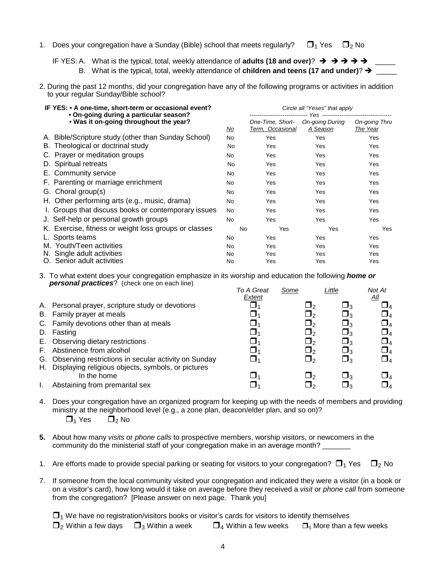- 1. Does your congregation have a Sunday (Bible) school that meets regularly?  $\square_1$  Yes  $\square_2$  No
	- IF YES: A. What is the typical, total, weekly attendance of **adults (18 and over)**?  $\rightarrow$   $\rightarrow$   $\rightarrow$   $\rightarrow$   $\rightarrow$  $\overline{\phantom{a}}$ B. What is the typical, total, weekly attendance of **children and teens (17 and under)?**  $\rightarrow$
- 2. During the past 12 months, did your congregation have any of the following programs or activities in addition to your regular Sunday/Bible school?

| IF YES: • A one-time, short-term or occasional event?<br>• On-going during a particular season? |           | Circle all "Yeses" that apply        |                             |                                  |  |  |  |
|-------------------------------------------------------------------------------------------------|-----------|--------------------------------------|-----------------------------|----------------------------------|--|--|--|
| . Was it on-going throughout the year?                                                          | <u>No</u> | One-Time, Short-<br>Term, Occasional | On-going During<br>A Season | <b>On-going Thru</b><br>The Year |  |  |  |
| A. Bible/Scripture study (other than Sunday School)                                             | No        | Yes                                  | Yes                         | Yes                              |  |  |  |
| B. Theological or doctrinal study                                                               | No        | Yes                                  | Yes                         | Yes                              |  |  |  |
| C. Prayer or meditation groups                                                                  | No        | Yes                                  | Yes                         | Yes                              |  |  |  |
| D. Spiritual retreats                                                                           | No        | Yes                                  | Yes                         | Yes                              |  |  |  |
| E. Community service                                                                            | <b>No</b> | Yes                                  | Yes                         | Yes                              |  |  |  |
| F. Parenting or marriage enrichment                                                             | No.       | Yes                                  | Yes                         | Yes                              |  |  |  |
| G. Choral group(s)                                                                              | No.       | Yes                                  | Yes                         | Yes                              |  |  |  |
| H. Other performing arts (e.g., music, drama)                                                   | No.       | Yes                                  | Yes                         | Yes                              |  |  |  |
| I. Groups that discuss books or contemporary issues                                             | <b>No</b> | <b>Yes</b>                           | Yes                         | Yes                              |  |  |  |
| J. Self-help or personal growth groups                                                          | <b>No</b> | Yes                                  | Yes                         | Yes                              |  |  |  |
| K. Exercise, fitness or weight loss groups or classes                                           | <b>No</b> | Yes                                  | Yes                         | Yes                              |  |  |  |
| L. Sports teams                                                                                 | No.       | Yes                                  | Yes                         | Yes                              |  |  |  |
| M. Youth/Teen activities                                                                        | No.       | Yes                                  | Yes                         | Yes                              |  |  |  |
| N. Single adult activities                                                                      | No.       | Yes                                  | Yes                         | Yes                              |  |  |  |
| O. Senior adult activities                                                                      | No        | Yes                                  | Yes                         | Yes                              |  |  |  |

3. To what extent does your congregation emphasize in its worship and education the following *home or personal practices*? (check one on each line)

|      |                                                                                                               | To A Great | Some                  | Little      | Not At                      |
|------|---------------------------------------------------------------------------------------------------------------|------------|-----------------------|-------------|-----------------------------|
|      | A. Personal prayer, scripture study or devotions<br>B. Family prayer at meals                                 | Extent     | $\sqcup$<br>$\Box$    | ⊔∢<br>צ⊔    | All<br>$\Box$ 4<br>$\Box_4$ |
|      | C. Family devotions other than at meals                                                                       |            | $\mathsf{\mathsf{L}}$ | ⊔∢          | $\Box_4$                    |
|      | D. Fasting                                                                                                    |            | $\Box_2$              | $\Box_3$    | $\Box_4$                    |
|      | E. Observing dietary restrictions                                                                             |            | $\Box$                | ⊔∢          | $\Box_4$                    |
| E.   | Abstinence from alcohol                                                                                       |            | $\Box$                | ⊔∢          | $\Box_4$                    |
| H. . | G. Observing restrictions in secular activity on Sunday<br>Displaying religious objects, symbols, or pictures |            | $\Box$ 2              | $\square_3$ | $\Box_4$                    |
|      | In the home                                                                                                   |            | ⊔⇒                    | ∝⊔          | $\Box$ 4                    |
|      | Abstaining from premarital sex                                                                                |            |                       |             | □4                          |

- 4. Does your congregation have an organized program for keeping up with the needs of members and providing ministry at the neighborhood level (e.g., a zone plan, deacon/elder plan, and so on)?  $\Box_1$  Yes  $\Box_2$  No
- **5.** About how many *visits* or *phone calls* to prospective members, worship visitors, or newcomers in the community do the ministerial staff of your congregation make in an average month?
- 1. Are efforts made to provide special parking or seating for visitors to your congregation?  $\Box_1$  Yes  $\Box_2$  No
- 7. If someone from the local community visited your congregation and indicated they were a visitor (in a book or on a visitor's card), how long would it take on average before they received a *visit* or *phone call* from someone from the congregation? [Please answer on next page. Thank you]

 $\Box$ <sub>1</sub> We have no registration/visitors books or visitor's cards for visitors to identify themselves  $\Box_2$  Within a few days  $\Box_3$  Within a week  $\Box_4$  Within a few weeks  $\Box_5$  More than a few weeks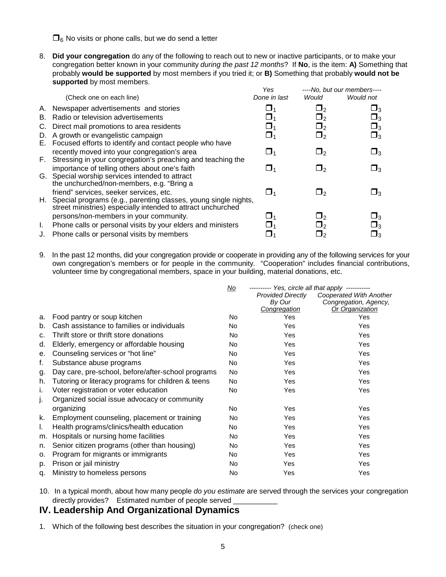$\Box_6$  No visits or phone calls, but we do send a letter

8. **Did your congregation** do any of the following to reach out to new or inactive participants, or to make your congregation better known in your community *during the past 12 months*? If **No**, is the item: **A)** Something that probably **would be supported** by most members if you tried it; or **B)** Something that probably **would not be supported** by most members.

|                                    | Yes                                                                                                                                                                                                                                                                                                                                                                                                                                                                                                                                                                                                                                                                                                                                        |                                                                          | ----No, but our members---- |
|------------------------------------|--------------------------------------------------------------------------------------------------------------------------------------------------------------------------------------------------------------------------------------------------------------------------------------------------------------------------------------------------------------------------------------------------------------------------------------------------------------------------------------------------------------------------------------------------------------------------------------------------------------------------------------------------------------------------------------------------------------------------------------------|--------------------------------------------------------------------------|-----------------------------|
| (Check one on each line)           | Done in last                                                                                                                                                                                                                                                                                                                                                                                                                                                                                                                                                                                                                                                                                                                               | Would                                                                    | Would not                   |
|                                    | ❏1                                                                                                                                                                                                                                                                                                                                                                                                                                                                                                                                                                                                                                                                                                                                         | _J2                                                                      | ⊔з                          |
| Radio or television advertisements |                                                                                                                                                                                                                                                                                                                                                                                                                                                                                                                                                                                                                                                                                                                                            | $\sqcup_2$                                                               | $\Box_3$                    |
|                                    |                                                                                                                                                                                                                                                                                                                                                                                                                                                                                                                                                                                                                                                                                                                                            | $\Box_2$                                                                 | $\Box_3$                    |
|                                    | $\Box_1$                                                                                                                                                                                                                                                                                                                                                                                                                                                                                                                                                                                                                                                                                                                                   | $\Box_2$                                                                 | $\Box_3$                    |
|                                    |                                                                                                                                                                                                                                                                                                                                                                                                                                                                                                                                                                                                                                                                                                                                            |                                                                          |                             |
|                                    | ⊔1                                                                                                                                                                                                                                                                                                                                                                                                                                                                                                                                                                                                                                                                                                                                         | <u>J2</u>                                                                | $\square_3$                 |
|                                    |                                                                                                                                                                                                                                                                                                                                                                                                                                                                                                                                                                                                                                                                                                                                            |                                                                          |                             |
|                                    |                                                                                                                                                                                                                                                                                                                                                                                                                                                                                                                                                                                                                                                                                                                                            | 92                                                                       | $\square_3$                 |
|                                    |                                                                                                                                                                                                                                                                                                                                                                                                                                                                                                                                                                                                                                                                                                                                            |                                                                          |                             |
|                                    |                                                                                                                                                                                                                                                                                                                                                                                                                                                                                                                                                                                                                                                                                                                                            |                                                                          |                             |
|                                    |                                                                                                                                                                                                                                                                                                                                                                                                                                                                                                                                                                                                                                                                                                                                            |                                                                          | $\square_3$                 |
|                                    |                                                                                                                                                                                                                                                                                                                                                                                                                                                                                                                                                                                                                                                                                                                                            |                                                                          |                             |
|                                    |                                                                                                                                                                                                                                                                                                                                                                                                                                                                                                                                                                                                                                                                                                                                            | $\mathsf{L}_{2}$                                                         | $\square_3$                 |
|                                    |                                                                                                                                                                                                                                                                                                                                                                                                                                                                                                                                                                                                                                                                                                                                            | ر ل                                                                      | $\Box_3$                    |
|                                    |                                                                                                                                                                                                                                                                                                                                                                                                                                                                                                                                                                                                                                                                                                                                            | J۶                                                                       | נ!                          |
|                                    | A. Newspaper advertisements and stories<br>B.<br>C. Direct mail promotions to area residents<br>D. A growth or evangelistic campaign<br>E. Focused efforts to identify and contact people who have<br>recently moved into your congregation's area<br>F. Stressing in your congregation's preaching and teaching the<br>importance of telling others about one's faith<br>G. Special worship services intended to attract<br>the unchurched/non-members, e.g. "Bring a<br>friend" services, seeker services, etc.<br>street ministries) especially intended to attract unchurched<br>persons/non-members in your community.<br>Phone calls or personal visits by your elders and ministers<br>J. Phone calls or personal visits by members | ⊔1<br>H. Special programs (e.g., parenting classes, young single nights, | ر ل                         |

9. In the past 12 months, did your congregation provide or cooperate in providing any of the following services for your own congregation's members or for people in the community. "Cooperation" includes financial contributions, volunteer time by congregational members, space in your building, material donations, etc.

|    |                                                    | <u>No</u> | --------- Yes, circle all that apply -----------<br><b>Provided Directly</b><br>By Our<br>Congregation | Cooperated With Another<br>Congregation, Agency,<br>Or Organization |
|----|----------------------------------------------------|-----------|--------------------------------------------------------------------------------------------------------|---------------------------------------------------------------------|
| a. | Food pantry or soup kitchen                        | No        | Yes                                                                                                    | Yes                                                                 |
| b. | Cash assistance to families or individuals         | No.       | Yes                                                                                                    | Yes                                                                 |
| c. | Thrift store or thrift store donations             | No.       | <b>Yes</b>                                                                                             | Yes                                                                 |
| d. | Elderly, emergency or affordable housing           | No.       | Yes                                                                                                    | Yes                                                                 |
| е. | Counseling services or "hot line"                  | No.       | Yes                                                                                                    | Yes                                                                 |
| f. | Substance abuse programs                           | No.       | Yes                                                                                                    | Yes                                                                 |
| g. | Day care, pre-school, before/after-school programs | No.       | <b>Yes</b>                                                                                             | Yes                                                                 |
| h. | Tutoring or literacy programs for children & teens | No        | Yes                                                                                                    | Yes                                                                 |
| i. | Voter registration or voter education              | <b>No</b> | Yes                                                                                                    | Yes                                                                 |
| J. | Organized social issue advocacy or community       |           |                                                                                                        |                                                                     |
|    | organizing                                         | No.       | Yes                                                                                                    | Yes                                                                 |
| k. | Employment counseling, placement or training       | No.       | Yes                                                                                                    | Yes                                                                 |
| I. | Health programs/clinics/health education           | No.       | Yes                                                                                                    | Yes                                                                 |
| m. | Hospitals or nursing home facilities               | No        | Yes                                                                                                    | Yes                                                                 |
| n. | Senior citizen programs (other than housing)       | No.       | Yes                                                                                                    | Yes                                                                 |
| 0. | Program for migrants or immigrants                 | No.       | Yes                                                                                                    | Yes                                                                 |
| p. | Prison or jail ministry                            | No.       | Yes                                                                                                    | Yes                                                                 |
| q. | Ministry to homeless persons                       | No        | Yes                                                                                                    | Yes                                                                 |

10. In a typical month, about how many people *do you estimate* are served through the services your congregation directly provides? Estimated number of people served \_

## **IV. Leadership And Organizational Dynamics**

1. Which of the following best describes the situation in your congregation? (check one)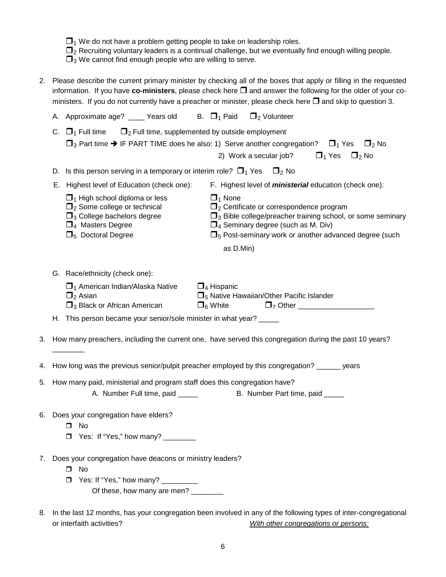$\Box_2$  Recruiting voluntary leaders is a continual challenge, but we eventually find enough willing people.

 $\Box_3$  We cannot find enough people who are willing to serve.

2. Please describe the current primary minister by checking all of the boxes that apply or filling in the requested information. If you have  $co$ -ministers, please check here  $\square$  and answer the following for the older of your coministers. If you do not currently have a preacher or minister, please check here  $\Box$  and skip to question 3.

|    | A. Approximate age? ____ Years old B. $\Box_1$ Paid $\Box_2$ Volunteer                                                                                                                                                     |                                                                                                                         |                                                 |  |                                                                                                                                                               |  |
|----|----------------------------------------------------------------------------------------------------------------------------------------------------------------------------------------------------------------------------|-------------------------------------------------------------------------------------------------------------------------|-------------------------------------------------|--|---------------------------------------------------------------------------------------------------------------------------------------------------------------|--|
|    | $\Box$ <sub>2</sub> Full time, supplemented by outside employment<br>C. $\Box_1$ Full time<br>$\square_3$ Part time $\rightarrow$ IF PART TIME does he also: 1) Serve another congregation? $\square_1$ Yes $\square_2$ No |                                                                                                                         | 2) Work a secular job? $\Box_1$ Yes $\Box_2$ No |  |                                                                                                                                                               |  |
|    | D. Is this person serving in a temporary or interim role? $\Box_1$ Yes $\Box_2$ No                                                                                                                                         |                                                                                                                         |                                                 |  |                                                                                                                                                               |  |
|    | E. Highest level of Education (check one):                                                                                                                                                                                 | F. Highest level of <i>ministerial</i> education (check one):                                                           |                                                 |  |                                                                                                                                                               |  |
|    | $\Box$ <sub>1</sub> High school diploma or less<br>$\Box_2$ Some college or technical<br>$\square$ <sub>3</sub> College bachelors degree<br>$\Box_4$ Masters Degree<br>$\Box_5$ Doctoral Degree                            | $\Box_1$ None<br>$\Box$ <sub>2</sub> Certificate or correspondence program<br>$\Box_4$ Seminary degree (such as M. Div) |                                                 |  | $\square$ <sub>3</sub> Bible college/preacher training school, or some seminary<br>$\square$ <sub>5</sub> Post-seminary work or another advanced degree (such |  |
|    |                                                                                                                                                                                                                            | as D.Min)                                                                                                               |                                                 |  |                                                                                                                                                               |  |
|    | G. Race/ethnicity (check one):                                                                                                                                                                                             |                                                                                                                         |                                                 |  |                                                                                                                                                               |  |
|    | $\Box_1$ American Indian/Alaska Native<br>$\Box_2$ Asian<br>$\square$ <sub>3</sub> Black or African American                                                                                                               | $\Box_4$ Hispanic<br>$\Box_5$ Native Hawaiian/Other Pacific Islander<br>$\Box_6$ White                                  | $\Box$ <sub>7</sub> Other _____________________ |  |                                                                                                                                                               |  |
|    | H. This person became your senior/sole minister in what year?                                                                                                                                                              |                                                                                                                         |                                                 |  |                                                                                                                                                               |  |
|    | 3. How many preachers, including the current one, have served this congregation during the past 10 years?                                                                                                                  |                                                                                                                         |                                                 |  |                                                                                                                                                               |  |
| 4. | How long was the previous senior/pulpit preacher employed by this congregation? ______ years                                                                                                                               |                                                                                                                         |                                                 |  |                                                                                                                                                               |  |
|    | 5. How many paid, ministerial and program staff does this congregation have?                                                                                                                                               |                                                                                                                         |                                                 |  |                                                                                                                                                               |  |
|    | A. Number Full time, paid _____                                                                                                                                                                                            |                                                                                                                         | B. Number Part time, paid _____                 |  |                                                                                                                                                               |  |
|    | 6. Does your congregation have elders?<br>$\square$ No<br>Yes: If "Yes," how many? _________                                                                                                                               |                                                                                                                         |                                                 |  |                                                                                                                                                               |  |
| 7. | Does your congregation have deacons or ministry leaders?<br>$\Box$<br>No<br>Yes: If "Yes," how many? _________<br>$\Box$<br>Of these, how many are men?                                                                    |                                                                                                                         |                                                 |  |                                                                                                                                                               |  |
|    |                                                                                                                                                                                                                            |                                                                                                                         |                                                 |  |                                                                                                                                                               |  |

8. In the last 12 months, has your congregation been involved in any of the following types of inter-congregational or interfaith activities? *With other congregations or persons:*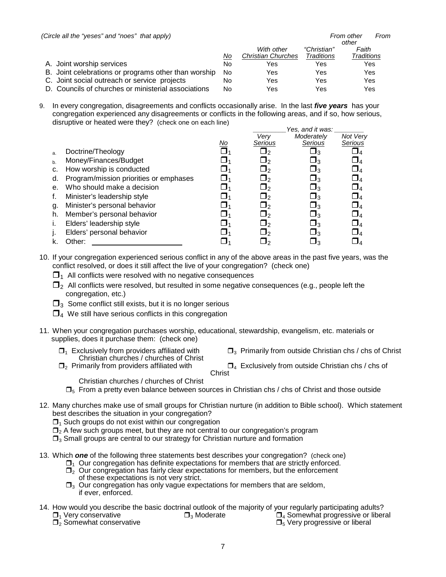| (Circle all the "yeses" and "noes" that apply)       |    |                           |             | From other<br>From |
|------------------------------------------------------|----|---------------------------|-------------|--------------------|
|                                                      |    |                           |             | other              |
|                                                      |    | With other                | "Christian" | Faith              |
|                                                      | No | <b>Christian Churches</b> | Traditions  | Traditions         |
| A. Joint worship services                            | No | Yes                       | Yes         | Yes                |
| B. Joint celebrations or programs other than worship | No | Yes                       | Yes         | Yes                |
| C. Joint social outreach or service projects         | No | Yes                       | Yes         | Yes                |
| D. Councils of churches or ministerial associations  | No | Yes                       | Yes         | Yes                |

9. In every congregation, disagreements and conflicts occasionally arise. In the last *five years* has your congregation experienced any disagreements or conflicts in the following areas, and if so, how serious, disruptive or heated were they? (check one on each line)

|    |                                        |           |                       | Yes, and it was: |             |
|----|----------------------------------------|-----------|-----------------------|------------------|-------------|
|    |                                        |           | Verv                  | Moderately       | Not Verv    |
|    |                                        | <u>No</u> | Serious               | Serious          | Serious     |
| a. | Doctrine/Theology                      |           | _J2                   | <u>J3</u>        |             |
| b. | Money/Finances/Budget                  |           | $\sqcup_2$            | $\square_3$      | $\Box_4$    |
| c. | How worship is conducted               |           | $\Box_2$              | $\Box_3$         | $\square_4$ |
| d. | Program/mission priorities or emphases |           | $\Box$                | $\Box_3$         | $\Box_4$    |
| е. | Who should make a decision             |           | $\Box$ 2              | $\square_3$      | $\Box_4$    |
|    | Minister's leadership style            |           | $\sqcup$ <sub>2</sub> | יב               | $\sqcup_4$  |
| g. | Minister's personal behavior           |           | $\Box$ 2              | $\square_3$      | $\Box_{4}$  |
| h. | Member's personal behavior             |           | $\Box_2$              | $\Box_3$         | $\Box_4$    |
|    | Elders' leadership style               |           | $\Box$                | $\Box_3$         | $\Box_4$    |
|    | Elders' personal behavior              |           | $\Box$ 2              | $\Box_3$         | $\sqcup_4$  |
|    | Other:                                 |           | <u> J2</u>            | ג⊑               |             |

### 10. If your congregation experienced serious conflict in any of the above areas in the past five years, was the conflict resolved, or does it still affect the live of your congregation? (check one)

 $\Box$ <sub>1</sub> All conflicts were resolved with no negative consequences

- $\Box$ <sub>2</sub> All conflicts were resolved, but resulted in some negative consequences (e.g., people left the congregation, etc.)
- $\Box$ <sub>3</sub> Some conflict still exists, but it is no longer serious
- $\Box_4$  We still have serious conflicts in this congregation
- 11. When your congregation purchases worship, educational, stewardship, evangelism, etc. materials or supplies, does it purchase them: (check one)
	- Christian churches / churches of Christ<br> $\square$ , Primarily from providers affiliated with
	- $\Box_1$  Exclusively from providers affiliated with  $\Box_3$  Primarily from outside Christian chs / chs of Christ
		- $\Box_4$  Exclusively from outside Christian chs / chs of Christ
	- - Christian churches / churches of Christ
	- $\Box_5$  From a pretty even balance between sources in Christian chs / chs of Christ and those outside
- 12. Many churches make use of small groups for Christian nurture (in addition to Bible school). Which statement best describes the situation in your congregation?
	- $\Box$ <sub>1</sub> Such groups do not exist within our congregation
	- $\Box$ , A few such groups meet, but they are not central to our congregation's program
	- $\Box$ <sub>3</sub> Small groups are central to our strategy for Christian nurture and formation
- 13. Which *one* of the following three statements best describes your congregation? (check one)
	- $\Box_1$  Our congregation has definite expectations for members that are strictly enforced.  $\Box$ <sub>2</sub> Our congregation has fairly clear expectations for members, but the enforcement of these expectations is not very strict.
	- $\Box$ <sub>3</sub> Our congregation has only vague expectations for members that are seldom, if ever, enforced.
- 14. How would you describe the basic doctrinal outlook of the majority of your regularly participating adults?  $\Box_1$  Very conservative  $\Box_3$  Moderate  $\Box_4$  Somewhat progressive or liberal  $\Box_2$  Somewhat conservative  $\Box_3$  Moderate  $\Box_5$  Very progressive or liberal  $\Box_2$  Somewhat conservative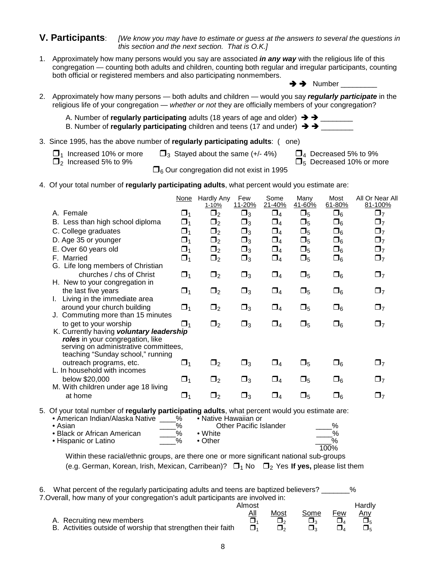#### **V. Participants**: *[We know you may have to estimate or guess at the answers to several the questions in this section and the next section. That is O.K.]*

1. Approximately how many persons would you say are associated *in any way* with the religious life of this congregation — counting both adults and children, counting both regular and irregular participants, counting both official or registered members and also participating nonmembers.

 $\rightarrow$  Number

- 2. Approximately how many persons both adults and children would you say *regularly participate* in the religious life of your congregation — *whether or not* they are officially members of your congregation?
	- A. Number of **regularly participating** adults (18 years of age and older)  $\rightarrow \rightarrow$
	- B. Number of **regularly participating** children and teens (17 and under)  $\rightarrow \rightarrow$
- 3. Since 1995, has the above number of **regularly participating adults**: ( one)
	- $\Box_1$  Increased 10% or more  $\Box_3$  Stayed about the same (+/- 4%)  $\Box_4$  Decreased 5% to 9%  $\Box_2$  Increased 10% or m  $\Box$ <sub>5</sub> Decreased 10% or more

 $\Box_6$  Our congregation did not exist in 1995

4. Of your total number of **regularly participating adults**, what percent would you estimate are:

|                                                                                                                                                            | <b>None</b> | Hardly Any<br><u>1-10%</u> | Few<br>11-20% | Some<br>21-40% | Many<br>41-60% | Most<br>61-80% | All Or Near All<br>81-100% |
|------------------------------------------------------------------------------------------------------------------------------------------------------------|-------------|----------------------------|---------------|----------------|----------------|----------------|----------------------------|
| A. Female                                                                                                                                                  | $\Box_1$    | $\Box_2$                   | $\Box_3$      | $\Box_4$       | $\square_5$    | $\square_6$    | $\Box$ 7                   |
| B. Less than high school diploma                                                                                                                           | $\Box_1$    | $\Box_2$                   | $\square_3$   | $\Box_4$       | $\square_5$    | $\square_6$    | $\Box$ 7                   |
| C. College graduates                                                                                                                                       | $\Box_1$    | $\Box_2$                   | $\Box_3$      | $\Box_4$       | $\Box_5$       | $\square_6$    | $\Box_7$                   |
| D. Age 35 or younger                                                                                                                                       | $\Box_1$    | $\Box_2$                   | $\Box_3$      | $\Box_4$       | $\Box_5$       | $\square_6$    | $\Box_7$                   |
| E. Over 60 years old                                                                                                                                       | $\Box_1$    | $\Box_2$                   | $\Box_3$      | $\Box_4$       | $\Box_5$       | $\square_6$    | $\Box_7$                   |
| F. Married                                                                                                                                                 | $\Box_1$    | $\Box_2$                   | $\Box_3$      | $\Box_4$       | $\Box_5$       | $\Box_6$       | $\Box_7$                   |
| G. Life long members of Christian<br>churches / chs of Christ                                                                                              | $\Box_1$    | $\Box_2$                   | $\Box_3$      | $\Box_4$       | $\Box_5$       | $\Box_6$       | $\Box$ 7                   |
| H. New to your congregation in                                                                                                                             |             |                            |               |                |                |                |                            |
| the last five years                                                                                                                                        | $\Box_1$    | $\Box_2$                   | $\Box_3$      | $\Box_4$       | $\Box_5$       | $\square_6$    | $\Box$ 7                   |
| Living in the immediate area                                                                                                                               |             |                            |               |                |                |                |                            |
| around your church building<br>J. Commuting more than 15 minutes                                                                                           | $\Box_1$    | $\Box_2$                   | $\square_3$   | $\Box_4$       | $\square_5$    | $\square_6$    | $\Box_7$                   |
| to get to your worship                                                                                                                                     | $\Box$ 1    | $\Box_2$                   | $\square_3$   | $\Box_4$       | $\Box_5$       | $\square_6$    | $\Box_7$                   |
| K. Currently having voluntary leadership<br>roles in your congregation, like<br>serving on administrative committees,<br>teaching "Sunday school," running |             |                            |               |                |                |                |                            |
| outreach programs, etc.<br>L. In household with incomes                                                                                                    | $\Box_1$    | $\Box_2$                   | $\Box_3$      | $\Box_4$       | $\square_5$    | $\square_6$    | $\Box$ 7                   |
| below \$20,000                                                                                                                                             | $\Box_1$    | $\Box_2$                   | $\Box_3$      | $\Box_4$       | $\Box_5$       | $\square_6$    | $\Box$ 7                   |
| M. With children under age 18 living<br>at home                                                                                                            | $\Box_1$    | $\Box_2$                   | $\Box_3$      | $\Box_4$       | $\Box_5$       | $\square_6$    | $\Box$ 7                   |
| 5. Of your total number of regularly participating adults, what percent would you estimate are:<br>• American Indian/Alaska Native                         | ℅           | • Native Hawaiian or       |               |                |                |                |                            |

| Antencan mulati/Riasha Native | 70                      | TIVALIVU LIAWAIIAI UL  |      |
|-------------------------------|-------------------------|------------------------|------|
| ∙ Asian                       | $\frac{0}{6}$           | Other Pacific Islander | $\%$ |
| • Black or African American   | $\%$                    | $\bullet$ White        |      |
| • Hispanic or Latino          | $\mathsf{o}_\mathsf{A}$ | $\bullet$ Other        | %    |
|                               |                         |                        | 100% |

Within these racial/ethnic groups, are there one or more significant national sub-groups (e.g. German, Korean, Irish, Mexican, Carribean)?  $\Box_1$  No  $\Box_2$  Yes If yes, please list them

| What percent of the regularly participating adults and teens are baptized believers?<br>%<br>6. |        |      |      |     |        |  |
|-------------------------------------------------------------------------------------------------|--------|------|------|-----|--------|--|
| 7. Overall, how many of your congregation's adult participants are involved in:                 |        |      |      |     |        |  |
|                                                                                                 | Almost |      |      |     | Hardly |  |
|                                                                                                 | All    | Most | Some | Few | Any    |  |
| A. Recruiting new members                                                                       |        |      |      |     |        |  |
| B. Activities outside of worship that strengthen their faith                                    | Π.     | ¬.   |      |     |        |  |

8